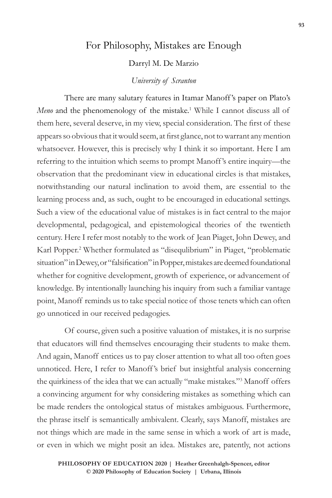## For Philosophy, Mistakes are Enough

Darryl M. De Marzio

## *University of Scranton*

There are many salutary features in Itamar Manoff 's paper on Plato's Meno and the phenomenology of the mistake.<sup>1</sup> While I cannot discuss all of them here, several deserve, in my view, special consideration. The first of these appears so obvious that it would seem, at first glance, not to warrant any mention whatsoever. However, this is precisely why I think it so important. Here I am referring to the intuition which seems to prompt Manoff 's entire inquiry—the observation that the predominant view in educational circles is that mistakes, notwithstanding our natural inclination to avoid them, are essential to the learning process and, as such, ought to be encouraged in educational settings. Such a view of the educational value of mistakes is in fact central to the major developmental, pedagogical, and epistemological theories of the twentieth century. Here I refer most notably to the work of Jean Piaget, John Dewey, and Karl Popper.<sup>2</sup> Whether formulated as "disequlibrium" in Piaget, "problematic situation" in Dewey, or "falsification" in Popper, mistakes are deemed foundational whether for cognitive development, growth of experience, or advancement of knowledge. By intentionally launching his inquiry from such a familiar vantage point, Manoff reminds us to take special notice of those tenets which can often go unnoticed in our received pedagogies.

Of course, given such a positive valuation of mistakes, it is no surprise that educators will find themselves encouraging their students to make them. And again, Manoff entices us to pay closer attention to what all too often goes unnoticed. Here, I refer to Manoff 's brief but insightful analysis concerning the quirkiness of the idea that we can actually "make mistakes."3 Manoff offers a convincing argument for why considering mistakes as something which can be made renders the ontological status of mistakes ambiguous. Furthermore, the phrase itself is semantically ambivalent. Clearly, says Manoff, mistakes are not things which are made in the same sense in which a work of art is made, or even in which we might posit an idea. Mistakes are, patently, not actions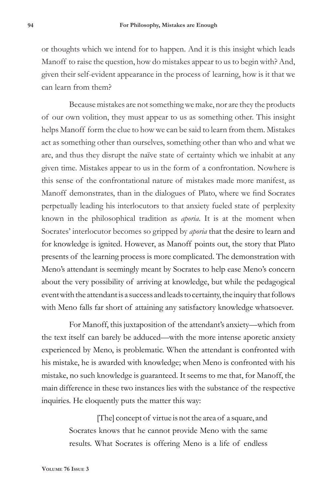or thoughts which we intend for to happen. And it is this insight which leads Manoff to raise the question, how do mistakes appear to us to begin with? And, given their self-evident appearance in the process of learning, how is it that we can learn from them?

Because mistakes are not something we make, nor are they the products of our own volition, they must appear to us as something other. This insight helps Manoff form the clue to how we can be said to learn from them. Mistakes act as something other than ourselves, something other than who and what we are, and thus they disrupt the naïve state of certainty which we inhabit at any given time. Mistakes appear to us in the form of a confrontation. Nowhere is this sense of the confrontational nature of mistakes made more manifest, as Manoff demonstrates, than in the dialogues of Plato, where we find Socrates perpetually leading his interlocutors to that anxiety fueled state of perplexity known in the philosophical tradition as *aporia*. It is at the moment when Socrates' interlocutor becomes so gripped by *aporia* that the desire to learn and for knowledge is ignited. However, as Manoff points out, the story that Plato presents of the learning process is more complicated. The demonstration with Meno's attendant is seemingly meant by Socrates to help ease Meno's concern about the very possibility of arriving at knowledge, but while the pedagogical event with the attendant is a success and leads to certainty, the inquiry that follows with Meno falls far short of attaining any satisfactory knowledge whatsoever.

For Manoff, this juxtaposition of the attendant's anxiety—which from the text itself can barely be adduced—with the more intense aporetic anxiety experienced by Meno, is problematic. When the attendant is confronted with his mistake, he is awarded with knowledge; when Meno is confronted with his mistake, no such knowledge is guaranteed. It seems to me that, for Manoff, the main difference in these two instances lies with the substance of the respective inquiries. He eloquently puts the matter this way:

> [The] concept of virtue is not the area of a square, and Socrates knows that he cannot provide Meno with the same results. What Socrates is offering Meno is a life of endless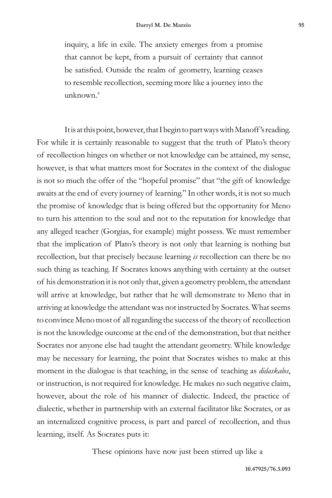inquiry, a life in exile. The anxiety emerges from a promise that cannot be kept, from a pursuit of certainty that cannot be satisfied. Outside the realm of geometry, learning ceases to resemble recollection, seeming more like a journey into the unknown.4

It is at this point, however, that I begin to part ways with Manoff's reading. For while it is certainly reasonable to suggest that the truth of Plato's theory of recollection hinges on whether or not knowledge can be attained, my sense, however, is that what matters most for Socrates in the context of the dialogue is not so much the offer of the "hopeful promise" that "the gift of knowledge awaits at the end of every journey of learning." In other words, it is not so much the promise of knowledge that is being offered but the opportunity for Meno to turn his attention to the soul and not to the reputation for knowledge that any alleged teacher (Gorgias, for example) might possess. We must remember that the implication of Plato's theory is not only that learning is nothing but recollection, but that precisely because learning *is* recollection can there be no such thing as teaching. If Socrates knows anything with certainty at the outset of his demonstration it is not only that, given a geometry problem, the attendant will arrive at knowledge, but rather that he will demonstrate to Meno that in arriving at knowledge the attendant was not instructed by Socrates. What seems to convince Meno most of all regarding the success of the theory of recollection is not the knowledge outcome at the end of the demonstration, but that neither Socrates nor anyone else had taught the attendant geometry. While knowledge may be necessary for learning, the point that Socrates wishes to make at this moment in the dialogue is that teaching, in the sense of teaching as *didaskalos*, or instruction, is not required for knowledge. He makes no such negative claim, however, about the role of his manner of dialectic. Indeed, the practice of dialectic, whether in partnership with an external facilitator like Socrates, or as an internalized cognitive process, is part and parcel of recollection, and thus learning, itself. As Socrates puts it:

These opinions have now just been stirred up like a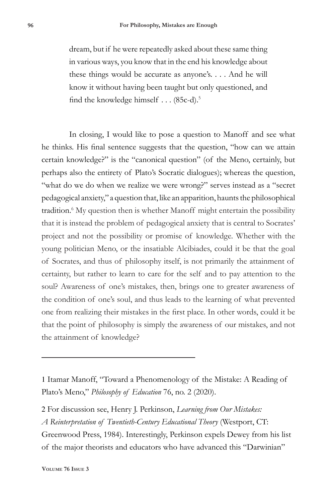dream, but if he were repeatedly asked about these same thing in various ways, you know that in the end his knowledge about these things would be accurate as anyone's. . . . And he will know it without having been taught but only questioned, and find the knowledge himself . . . (85c-d).5

In closing, I would like to pose a question to Manoff and see what he thinks. His final sentence suggests that the question, "how can we attain certain knowledge?" is the "canonical question" (of the Meno, certainly, but perhaps also the entirety of Plato's Socratic dialogues); whereas the question, "what do we do when we realize we were wrong?" serves instead as a "secret pedagogical anxiety," a question that, like an apparition, haunts the philosophical tradition.<sup>6</sup> My question then is whether Manoff might entertain the possibility that it is instead the problem of pedagogical anxiety that is central to Socrates' project and not the possibility or promise of knowledge. Whether with the young politician Meno, or the insatiable Alcibiades, could it be that the goal of Socrates, and thus of philosophy itself, is not primarily the attainment of certainty, but rather to learn to care for the self and to pay attention to the soul? Awareness of one's mistakes, then, brings one to greater awareness of the condition of one's soul, and thus leads to the learning of what prevented one from realizing their mistakes in the first place. In other words, could it be that the point of philosophy is simply the awareness of our mistakes, and not the attainment of knowledge?

<sup>1</sup> Itamar Manoff, "Toward a Phenomenology of the Mistake: A Reading of Plato's Meno," *Philosophy of Education* 76, no. 2 (2020).

<sup>2</sup> For discussion see, Henry J. Perkinson, *Learning from Our Mistakes: A Reinterpretation of Twentieth-Century Educational Theory* (Westport, CT: Greenwood Press, 1984). Interestingly, Perkinson expels Dewey from his list of the major theorists and educators who have advanced this "Darwinian"